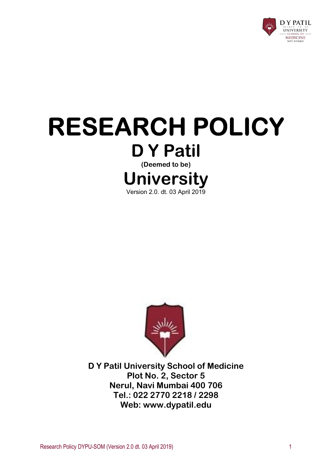

# RESEARCH POLICY D Y Patil (Deemed to be) University Version 2.0. dt. 03 April 2019



D Y Patil University School of Medicine Plot No. 2, Sector 5 Nerul, Navi Mumbai 400 706 Tel.: 022 2770 2218 / 2298 Web: www.dypatil.edu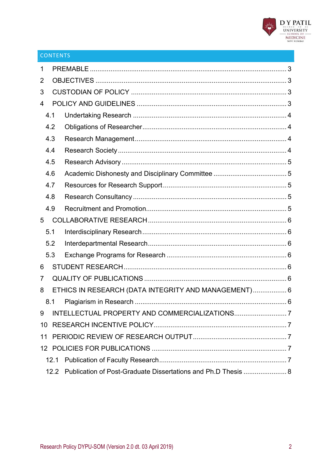

### CONTENTS

| 1  |      |                                                               |  |
|----|------|---------------------------------------------------------------|--|
| 2  |      |                                                               |  |
| 3  |      |                                                               |  |
| 4  |      |                                                               |  |
|    | 4.1  |                                                               |  |
|    | 4.2  |                                                               |  |
|    | 4.3  |                                                               |  |
|    | 4.4  |                                                               |  |
|    | 4.5  |                                                               |  |
|    | 4.6  |                                                               |  |
|    | 4.7  |                                                               |  |
|    | 4.8  |                                                               |  |
|    | 4.9  |                                                               |  |
| 5  |      |                                                               |  |
|    | 5.1  |                                                               |  |
|    | 5.2  |                                                               |  |
|    | 5.3  |                                                               |  |
| 6  |      |                                                               |  |
| 7  |      |                                                               |  |
| 8  |      | ETHICS IN RESEARCH (DATA INTEGRITY AND MANAGEMENT) 6          |  |
|    | 8.1  |                                                               |  |
| 9  |      |                                                               |  |
| 10 |      |                                                               |  |
| 11 |      |                                                               |  |
|    |      |                                                               |  |
|    | 12.1 |                                                               |  |
|    | 12.2 | Publication of Post-Graduate Dissertations and Ph.D Thesis  8 |  |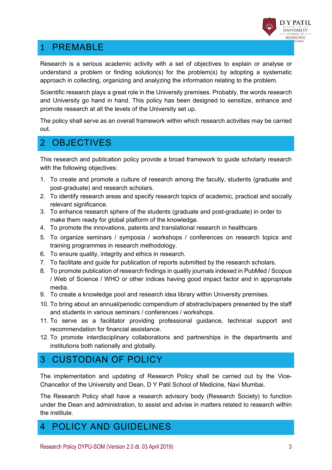

# 1 PREMABLE

Research is a serious academic activity with a set of objectives to explain or analyse or understand a problem or finding solution(s) for the problem(s) by adopting a systematic approach in collecting, organizing and analyzing the information relating to the problem.

Scientific research plays a great role in the University premises. Probably, the words research and University go hand in hand. This policy has been designed to sensitize, enhance and promote research at all the levels of the University set up.

The policy shall serve as an overall framework within which research activities may be carried out.

## 2 OBJECTIVES

This research and publication policy provide a broad framework to guide scholarly research with the following objectives:

- 1. To create and promote a culture of research among the faculty, students (graduate and post-graduate) and research scholars.
- 2. To identify research areas and specify research topics of academic, practical and socially relevant significance.
- 3. To enhance research sphere of the students (graduate and post-graduate) in order to make them ready for global platform of the knowledge.
- 4. To promote the innovations, patents and translational research in healthcare.
- 5. To organize seminars / symposia / workshops / conferences on research topics and training programmes in research methodology.
- 6. To ensure quality, integrity and ethics in research.
- 7. To facilitate and guide for publication of reports submitted by the research scholars.
- 8. To promote publication of research findings in quality journals indexed in PubMed / Scopus / Web of Science / WHO or other indices having good impact factor and in appropriate media.
- 9. To create a knowledge pool and research idea library within University premises.
- 10. To bring about an annual/periodic compendium of abstracts/papers presented by the staff and students in various seminars / conferences / workshops.
- 11. To serve as a facilitator providing professional guidance, technical support and recommendation for financial assistance.
- 12. To promote interdisciplinary collaborations and partnerships in the departments and institutions both nationally and globally.

# 3 CUSTODIAN OF POLICY

The implementation and updating of Research Policy shall be carried out by the Vice-Chancellor of the University and Dean, D Y Patil School of Medicine, Navi Mumbai.

The Research Policy shall have a research advisory body (Research Society) to function under the Dean and administration, to assist and advise in matters related to research within the institute.

## 4 POLICY AND GUIDELINES

Research Policy DYPU-SOM (Version 2.0 dt. 03 April 2019) 3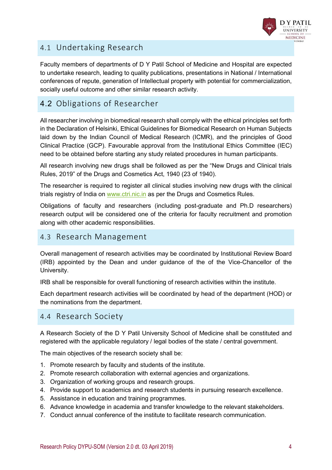

#### 4.1 Undertaking Research

Faculty members of departments of D Y Patil School of Medicine and Hospital are expected to undertake research, leading to quality publications, presentations in National / International conferences of repute, generation of Intellectual property with potential for commercialization, socially useful outcome and other similar research activity.

### 4.2 Obligations of Researcher

All researcher involving in biomedical research shall comply with the ethical principles set forth in the Declaration of Helsinki, Ethical Guidelines for Biomedical Research on Human Subjects laid down by the Indian Council of Medical Research (ICMR), and the principles of Good Clinical Practice (GCP). Favourable approval from the Institutional Ethics Committee (IEC) need to be obtained before starting any study related procedures in human participants.

All research involving new drugs shall be followed as per the "New Drugs and Clinical trials Rules, 2019" of the Drugs and Cosmetics Act, 1940 (23 of 1940).

The researcher is required to register all clinical studies involving new drugs with the clinical trials registry of India on www.ctri.nic.in as per the Drugs and Cosmetics Rules.

Obligations of faculty and researchers (including post-graduate and Ph.D researchers) research output will be considered one of the criteria for faculty recruitment and promotion along with other academic responsibilities.

#### 4.3 Research Management

Overall management of research activities may be coordinated by Institutional Review Board (IRB) appointed by the Dean and under guidance of the of the Vice-Chancellor of the University.

IRB shall be responsible for overall functioning of research activities within the institute.

Each department research activities will be coordinated by head of the department (HOD) or the nominations from the department.

#### 4.4 Research Society

A Research Society of the D Y Patil University School of Medicine shall be constituted and registered with the applicable regulatory / legal bodies of the state / central government.

The main objectives of the research society shall be:

- 1. Promote research by faculty and students of the institute.
- 2. Promote research collaboration with external agencies and organizations.
- 3. Organization of working groups and research groups.
- 4. Provide support to academics and research students in pursuing research excellence.
- 5. Assistance in education and training programmes.
- 6. Advance knowledge in academia and transfer knowledge to the relevant stakeholders.
- 7. Conduct annual conference of the institute to facilitate research communication.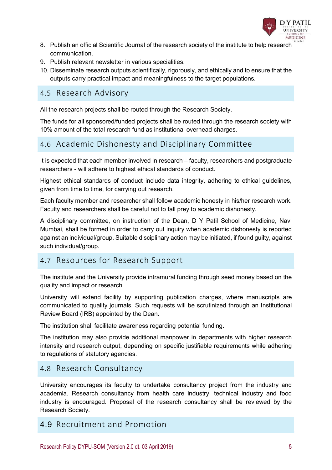

- 8. Publish an official Scientific Journal of the research society of the institute to help research communication.
- 9. Publish relevant newsletter in various specialities.
- 10. Disseminate research outputs scientifically, rigorously, and ethically and to ensure that the outputs carry practical impact and meaningfulness to the target populations.

#### 4.5 Research Advisory

All the research projects shall be routed through the Research Society.

The funds for all sponsored/funded projects shall be routed through the research society with 10% amount of the total research fund as institutional overhead charges.

#### 4.6 Academic Dishonesty and Disciplinary Committee

It is expected that each member involved in research – faculty, researchers and postgraduate researchers - will adhere to highest ethical standards of conduct.

Highest ethical standards of conduct include data integrity, adhering to ethical guidelines, given from time to time, for carrying out research.

Each faculty member and researcher shall follow academic honesty in his/her research work. Faculty and researchers shall be careful not to fall prey to academic dishonesty.

A disciplinary committee, on instruction of the Dean, D Y Patil School of Medicine, Navi Mumbai, shall be formed in order to carry out inquiry when academic dishonesty is reported against an individual/group. Suitable disciplinary action may be initiated, if found guilty, against such individual/group.

#### 4.7 Resources for Research Support

The institute and the University provide intramural funding through seed money based on the quality and impact or research.

University will extend facility by supporting publication charges, where manuscripts are communicated to quality journals. Such requests will be scrutinized through an Institutional Review Board (IRB) appointed by the Dean.

The institution shall facilitate awareness regarding potential funding.

The institution may also provide additional manpower in departments with higher research intensity and research output, depending on specific justifiable requirements while adhering to regulations of statutory agencies.

#### 4.8 Research Consultancy

University encourages its faculty to undertake consultancy project from the industry and academia. Research consultancy from health care industry, technical industry and food industry is encouraged. Proposal of the research consultancy shall be reviewed by the Research Society.

#### 4.9 Recruitment and Promotion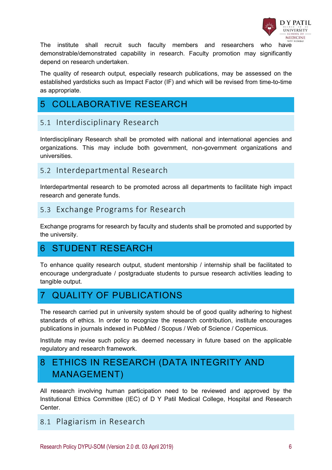

The institute shall recruit such faculty members and researchers who have demonstrable/demonstrated capability in research. Faculty promotion may significantly depend on research undertaken.

The quality of research output, especially research publications, may be assessed on the established yardsticks such as Impact Factor (IF) and which will be revised from time-to-time as appropriate.

# 5 COLLABORATIVE RESEARCH

### 5.1 Interdisciplinary Research

Interdisciplinary Research shall be promoted with national and international agencies and organizations. This may include both government, non-government organizations and universities.

#### 5.2 Interdepartmental Research

Interdepartmental research to be promoted across all departments to facilitate high impact research and generate funds.

#### 5.3 Exchange Programs for Research

Exchange programs for research by faculty and students shall be promoted and supported by the university.

# 6 STUDENT RESEARCH

To enhance quality research output, student mentorship / internship shall be facilitated to encourage undergraduate / postgraduate students to pursue research activities leading to tangible output.

# 7 QUALITY OF PUBLICATIONS

The research carried put in university system should be of good quality adhering to highest standards of ethics. In order to recognize the research contribution, institute encourages publications in journals indexed in PubMed / Scopus / Web of Science / Copernicus.

Institute may revise such policy as deemed necessary in future based on the applicable regulatory and research framework.

# 8 ETHICS IN RESEARCH (DATA INTEGRITY AND MANAGEMENT)

All research involving human participation need to be reviewed and approved by the Institutional Ethics Committee (IEC) of D Y Patil Medical College, Hospital and Research **Center** 

#### 8.1 Plagiarism in Research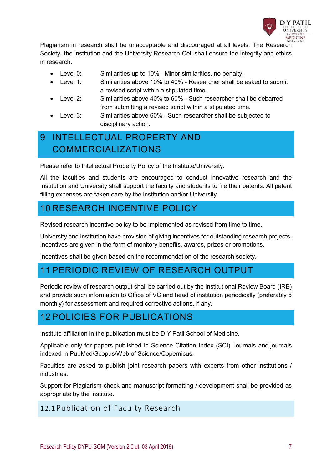

Plagiarism in research shall be unacceptable and discouraged at all levels. The Research Society, the institution and the University Research Cell shall ensure the integrity and ethics in research.

- Level 0: Similarities up to 10% Minor similarities, no penalty.
- Level 1: Similarities above 10% to 40% Researcher shall be asked to submit a revised script within a stipulated time.
- Level 2: Similarities above 40% to 60% Such researcher shall be debarred from submitting a revised script within a stipulated time.
- Level 3: Similarities above 60% Such researcher shall be subjected to disciplinary action.

# 9 INTELLECTUAL PROPERTY AND COMMERCIALIZATIONS

Please refer to Intellectual Property Policy of the Institute/University.

All the faculties and students are encouraged to conduct innovative research and the Institution and University shall support the faculty and students to file their patents. All patent filling expenses are taken care by the institution and/or University.

# 10 RESEARCH INCENTIVE POLICY

Revised research incentive policy to be implemented as revised from time to time.

University and institution have provision of giving incentives for outstanding research projects. Incentives are given in the form of monitory benefits, awards, prizes or promotions.

Incentives shall be given based on the recommendation of the research society.

## 11 PERIODIC REVIEW OF RESEARCH OUTPUT

Periodic review of research output shall be carried out by the Institutional Review Board (IRB) and provide such information to Office of VC and head of institution periodically (preferably 6 monthly) for assessment and required corrective actions, if any.

## 12 POLICIES FOR PUBLICATIONS

Institute affiliation in the publication must be D Y Patil School of Medicine.

Applicable only for papers published in Science Citation Index (SCI) Journals and journals indexed in PubMed/Scopus/Web of Science/Copernicus.

Faculties are asked to publish joint research papers with experts from other institutions / **industries** 

Support for Plagiarism check and manuscript formatting / development shall be provided as appropriate by the institute.

#### 12.1Publication of Faculty Research